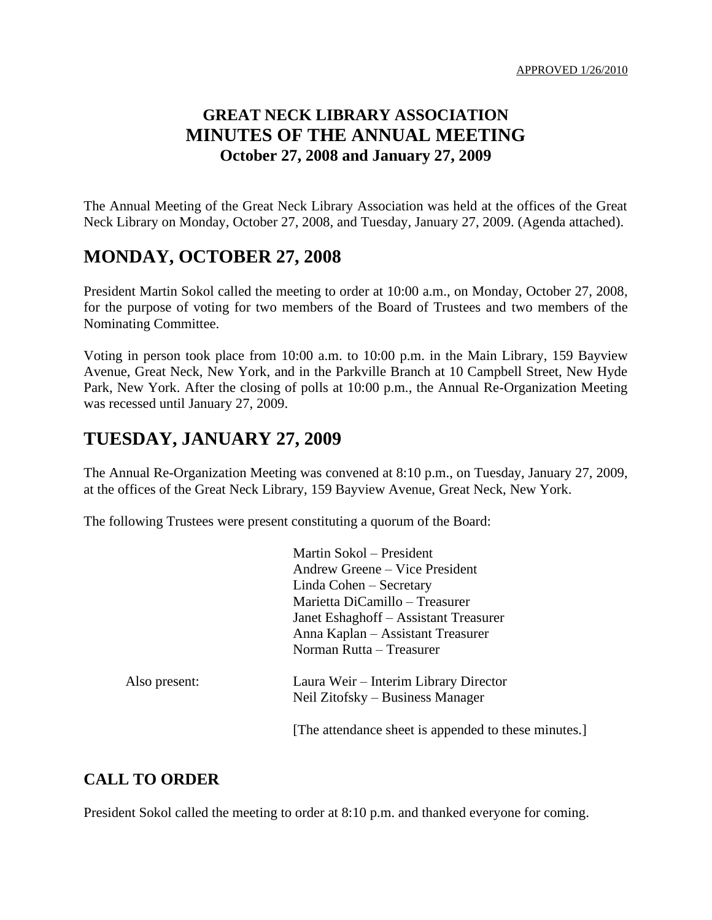APPROVED 1/26/2010

# **GREAT NECK LIBRARY ASSOCIATION MINUTES OF THE ANNUAL MEETING October 27, 2008 and January 27, 2009**

The Annual Meeting of the Great Neck Library Association was held at the offices of the Great Neck Library on Monday, October 27, 2008, and Tuesday, January 27, 2009. (Agenda attached).

# **MONDAY, OCTOBER 27, 2008**

President Martin Sokol called the meeting to order at 10:00 a.m., on Monday, October 27, 2008, for the purpose of voting for two members of the Board of Trustees and two members of the Nominating Committee.

Voting in person took place from 10:00 a.m. to 10:00 p.m. in the Main Library, 159 Bayview Avenue, Great Neck, New York, and in the Parkville Branch at 10 Campbell Street, New Hyde Park, New York. After the closing of polls at 10:00 p.m., the Annual Re-Organization Meeting was recessed until January 27, 2009.

# **TUESDAY, JANUARY 27, 2009**

The Annual Re-Organization Meeting was convened at 8:10 p.m., on Tuesday, January 27, 2009, at the offices of the Great Neck Library, 159 Bayview Avenue, Great Neck, New York.

The following Trustees were present constituting a quorum of the Board:

|               | Martin Sokol – President                             |
|---------------|------------------------------------------------------|
|               | Andrew Greene – Vice President                       |
|               | Linda Cohen – Secretary                              |
|               | Marietta DiCamillo – Treasurer                       |
|               | Janet Eshaghoff – Assistant Treasurer                |
|               | Anna Kaplan – Assistant Treasurer                    |
|               | Norman Rutta – Treasurer                             |
| Also present: | Laura Weir – Interim Library Director                |
|               | Neil Zitofsky – Business Manager                     |
|               | [The attendance sheet is appended to these minutes.] |

### **CALL TO ORDER**

President Sokol called the meeting to order at 8:10 p.m. and thanked everyone for coming.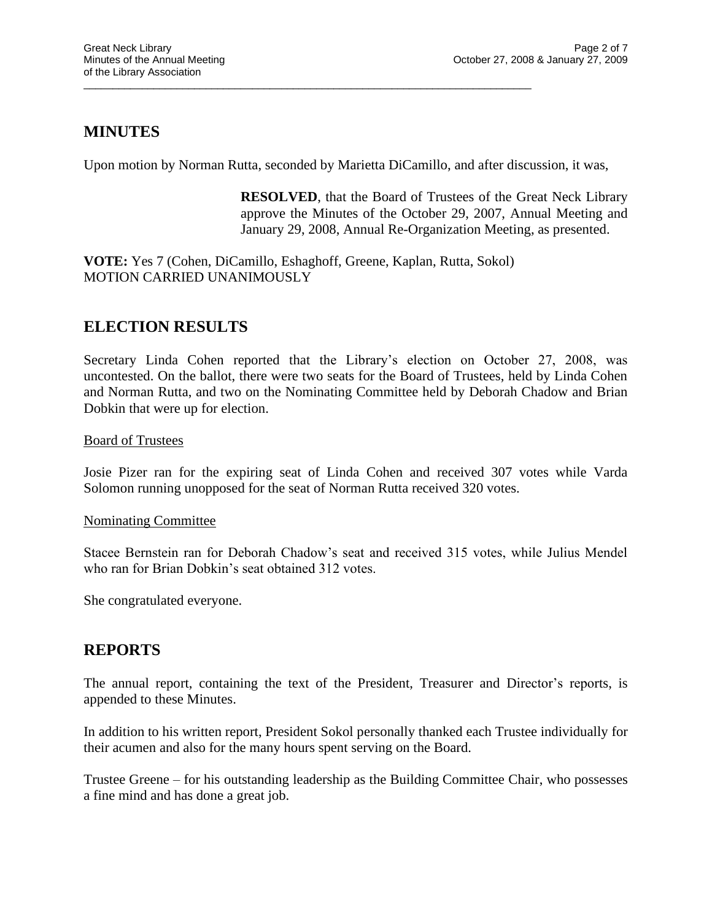## **MINUTES**

Upon motion by Norman Rutta, seconded by Marietta DiCamillo, and after discussion, it was,

**RESOLVED**, that the Board of Trustees of the Great Neck Library approve the Minutes of the October 29, 2007, Annual Meeting and January 29, 2008, Annual Re-Organization Meeting, as presented.

**VOTE:** Yes 7 (Cohen, DiCamillo, Eshaghoff, Greene, Kaplan, Rutta, Sokol) MOTION CARRIED UNANIMOUSLY

\_\_\_\_\_\_\_\_\_\_\_\_\_\_\_\_\_\_\_\_\_\_\_\_\_\_\_\_\_\_\_\_\_\_\_\_\_\_\_\_\_\_\_\_\_\_\_\_\_\_\_\_\_\_\_\_\_\_\_\_\_\_\_\_\_\_\_\_\_\_\_\_\_\_\_\_\_

## **ELECTION RESULTS**

Secretary Linda Cohen reported that the Library's election on October 27, 2008, was uncontested. On the ballot, there were two seats for the Board of Trustees, held by Linda Cohen and Norman Rutta, and two on the Nominating Committee held by Deborah Chadow and Brian Dobkin that were up for election.

### Board of Trustees

Josie Pizer ran for the expiring seat of Linda Cohen and received 307 votes while Varda Solomon running unopposed for the seat of Norman Rutta received 320 votes.

#### Nominating Committee

Stacee Bernstein ran for Deborah Chadow's seat and received 315 votes, while Julius Mendel who ran for Brian Dobkin's seat obtained 312 votes.

She congratulated everyone.

## **REPORTS**

The annual report, containing the text of the President, Treasurer and Director's reports, is appended to these Minutes.

In addition to his written report, President Sokol personally thanked each Trustee individually for their acumen and also for the many hours spent serving on the Board.

Trustee Greene – for his outstanding leadership as the Building Committee Chair, who possesses a fine mind and has done a great job.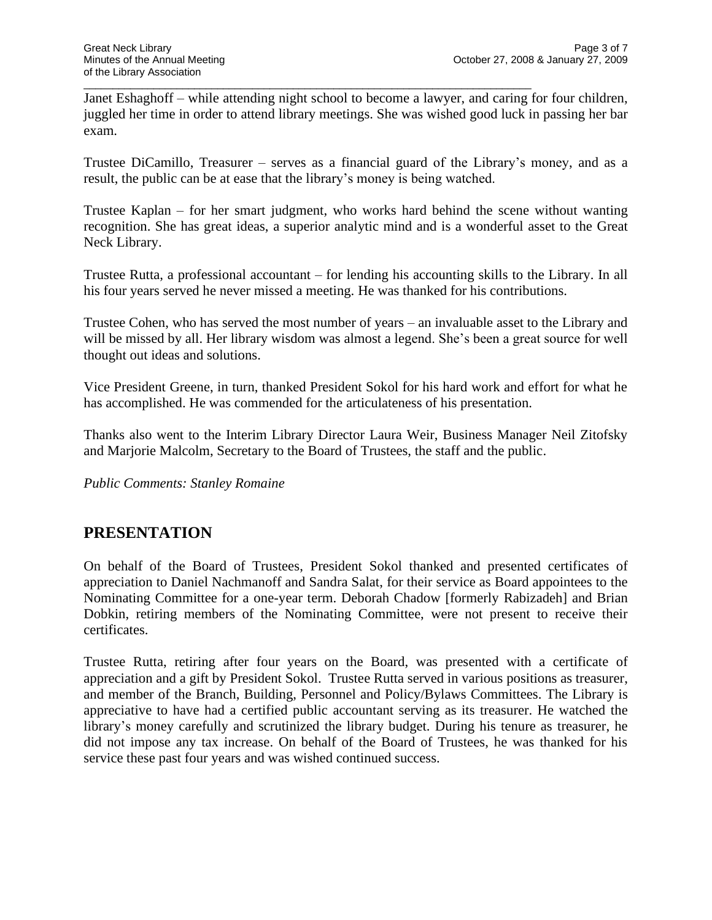Janet Eshaghoff – while attending night school to become a lawyer, and caring for four children, juggled her time in order to attend library meetings. She was wished good luck in passing her bar exam.

\_\_\_\_\_\_\_\_\_\_\_\_\_\_\_\_\_\_\_\_\_\_\_\_\_\_\_\_\_\_\_\_\_\_\_\_\_\_\_\_\_\_\_\_\_\_\_\_\_\_\_\_\_\_\_\_\_\_\_\_\_\_\_\_\_\_\_\_\_\_\_\_\_\_\_\_\_

Trustee DiCamillo, Treasurer – serves as a financial guard of the Library's money, and as a result, the public can be at ease that the library's money is being watched.

Trustee Kaplan – for her smart judgment, who works hard behind the scene without wanting recognition. She has great ideas, a superior analytic mind and is a wonderful asset to the Great Neck Library.

Trustee Rutta, a professional accountant – for lending his accounting skills to the Library. In all his four years served he never missed a meeting. He was thanked for his contributions.

Trustee Cohen, who has served the most number of years – an invaluable asset to the Library and will be missed by all. Her library wisdom was almost a legend. She's been a great source for well thought out ideas and solutions.

Vice President Greene, in turn, thanked President Sokol for his hard work and effort for what he has accomplished. He was commended for the articulateness of his presentation.

Thanks also went to the Interim Library Director Laura Weir, Business Manager Neil Zitofsky and Marjorie Malcolm, Secretary to the Board of Trustees, the staff and the public.

*Public Comments: Stanley Romaine*

## **PRESENTATION**

On behalf of the Board of Trustees, President Sokol thanked and presented certificates of appreciation to Daniel Nachmanoff and Sandra Salat, for their service as Board appointees to the Nominating Committee for a one-year term. Deborah Chadow [formerly Rabizadeh] and Brian Dobkin, retiring members of the Nominating Committee, were not present to receive their certificates.

Trustee Rutta, retiring after four years on the Board, was presented with a certificate of appreciation and a gift by President Sokol. Trustee Rutta served in various positions as treasurer, and member of the Branch, Building, Personnel and Policy/Bylaws Committees. The Library is appreciative to have had a certified public accountant serving as its treasurer. He watched the library's money carefully and scrutinized the library budget. During his tenure as treasurer, he did not impose any tax increase. On behalf of the Board of Trustees, he was thanked for his service these past four years and was wished continued success.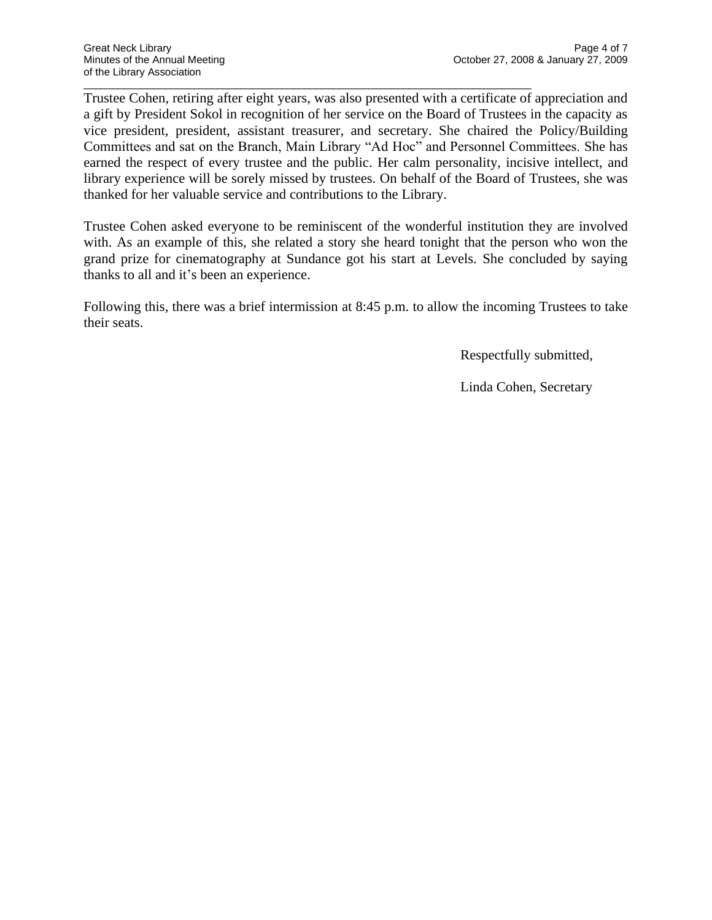Trustee Cohen, retiring after eight years, was also presented with a certificate of appreciation and a gift by President Sokol in recognition of her service on the Board of Trustees in the capacity as vice president, president, assistant treasurer, and secretary. She chaired the Policy/Building Committees and sat on the Branch, Main Library "Ad Hoc" and Personnel Committees. She has earned the respect of every trustee and the public. Her calm personality, incisive intellect, and library experience will be sorely missed by trustees. On behalf of the Board of Trustees, she was thanked for her valuable service and contributions to the Library.

\_\_\_\_\_\_\_\_\_\_\_\_\_\_\_\_\_\_\_\_\_\_\_\_\_\_\_\_\_\_\_\_\_\_\_\_\_\_\_\_\_\_\_\_\_\_\_\_\_\_\_\_\_\_\_\_\_\_\_\_\_\_\_\_\_\_\_\_\_\_\_\_\_\_\_\_\_

Trustee Cohen asked everyone to be reminiscent of the wonderful institution they are involved with. As an example of this, she related a story she heard tonight that the person who won the grand prize for cinematography at Sundance got his start at Levels. She concluded by saying thanks to all and it's been an experience.

Following this, there was a brief intermission at 8:45 p.m. to allow the incoming Trustees to take their seats.

Respectfully submitted,

Linda Cohen, Secretary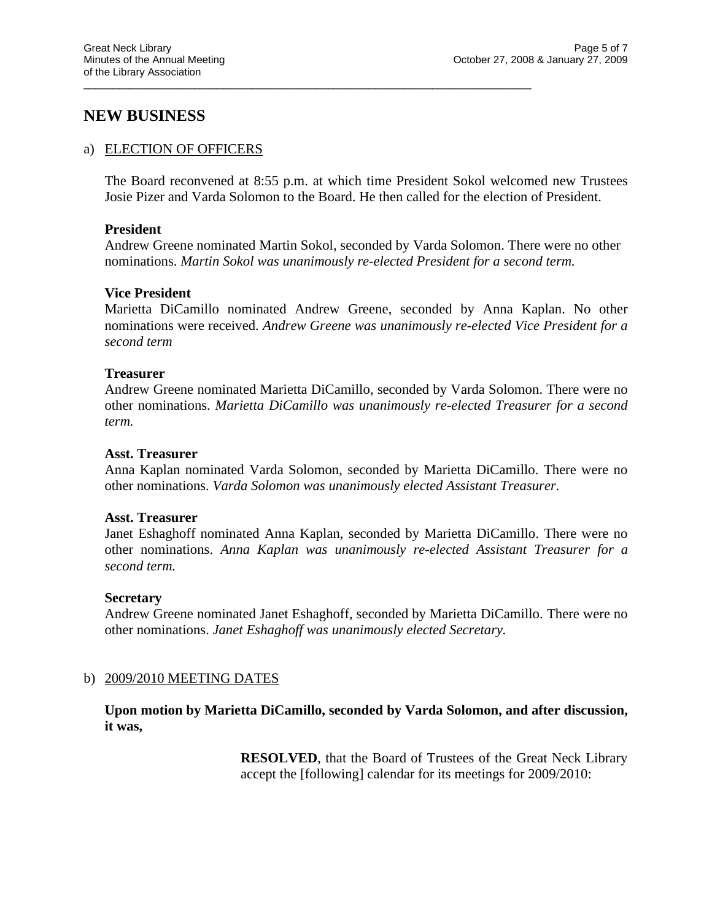### **NEW BUSINESS**

#### a) ELECTION OF OFFICERS

The Board reconvened at 8:55 p.m. at which time President Sokol welcomed new Trustees Josie Pizer and Varda Solomon to the Board. He then called for the election of President.

\_\_\_\_\_\_\_\_\_\_\_\_\_\_\_\_\_\_\_\_\_\_\_\_\_\_\_\_\_\_\_\_\_\_\_\_\_\_\_\_\_\_\_\_\_\_\_\_\_\_\_\_\_\_\_\_\_\_\_\_\_\_\_\_\_\_\_\_\_\_\_\_\_\_\_\_\_

#### **President**

Andrew Greene nominated Martin Sokol, seconded by Varda Solomon. There were no other nominations. *Martin Sokol was unanimously re-elected President for a second term.*

#### **Vice President**

Marietta DiCamillo nominated Andrew Greene, seconded by Anna Kaplan. No other nominations were received. *Andrew Greene was unanimously re-elected Vice President for a second term*

#### **Treasurer**

Andrew Greene nominated Marietta DiCamillo, seconded by Varda Solomon. There were no other nominations. *Marietta DiCamillo was unanimously re-elected Treasurer for a second term.*

#### **Asst. Treasurer**

Anna Kaplan nominated Varda Solomon, seconded by Marietta DiCamillo. There were no other nominations. *Varda Solomon was unanimously elected Assistant Treasurer.*

#### **Asst. Treasurer**

Janet Eshaghoff nominated Anna Kaplan, seconded by Marietta DiCamillo. There were no other nominations. *Anna Kaplan was unanimously re-elected Assistant Treasurer for a second term.*

#### **Secretary**

Andrew Greene nominated Janet Eshaghoff, seconded by Marietta DiCamillo. There were no other nominations. *Janet Eshaghoff was unanimously elected Secretary.*

#### b) 2009/2010 MEETING DATES

**Upon motion by Marietta DiCamillo, seconded by Varda Solomon, and after discussion, it was,**

> **RESOLVED**, that the Board of Trustees of the Great Neck Library accept the [following] calendar for its meetings for 2009/2010: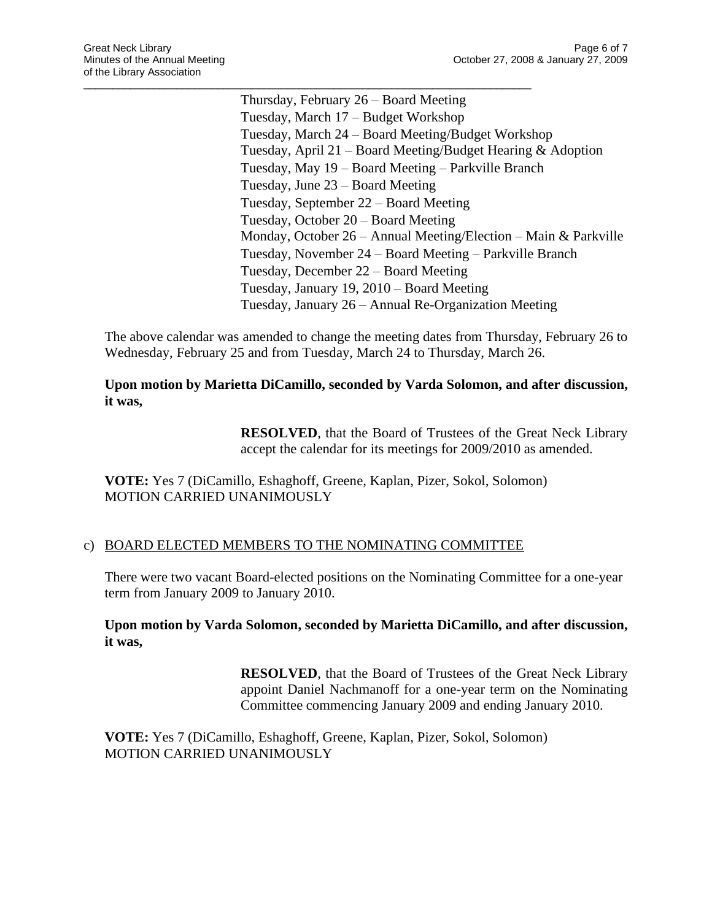Thursday, February 26 – Board Meeting Tuesday, March 17 – Budget Workshop Tuesday, March 24 – Board Meeting/Budget Workshop Tuesday, April 21 – Board Meeting/Budget Hearing & Adoption Tuesday, May 19 – Board Meeting – Parkville Branch Tuesday, June 23 – Board Meeting Tuesday, September 22 – Board Meeting Tuesday, October 20 – Board Meeting Monday, October 26 – Annual Meeting/Election – Main & Parkville Tuesday, November 24 – Board Meeting – Parkville Branch Tuesday, December 22 – Board Meeting Tuesday, January 19, 2010 – Board Meeting Tuesday, January 26 – Annual Re-Organization Meeting

The above calendar was amended to change the meeting dates from Thursday, February 26 to Wednesday, February 25 and from Tuesday, March 24 to Thursday, March 26.

**Upon motion by Marietta DiCamillo, seconded by Varda Solomon, and after discussion, it was,**

> **RESOLVED**, that the Board of Trustees of the Great Neck Library accept the calendar for its meetings for 2009/2010 as amended.

**VOTE:** Yes 7 (DiCamillo, Eshaghoff, Greene, Kaplan, Pizer, Sokol, Solomon) MOTION CARRIED UNANIMOUSLY

### c) BOARD ELECTED MEMBERS TO THE NOMINATING COMMITTEE

\_\_\_\_\_\_\_\_\_\_\_\_\_\_\_\_\_\_\_\_\_\_\_\_\_\_\_\_\_\_\_\_\_\_\_\_\_\_\_\_\_\_\_\_\_\_\_\_\_\_\_\_\_\_\_\_\_\_\_\_\_\_\_\_\_\_\_\_\_\_\_\_\_\_\_\_\_

There were two vacant Board-elected positions on the Nominating Committee for a one-year term from January 2009 to January 2010.

#### **Upon motion by Varda Solomon, seconded by Marietta DiCamillo, and after discussion, it was,**

**RESOLVED**, that the Board of Trustees of the Great Neck Library appoint Daniel Nachmanoff for a one-year term on the Nominating Committee commencing January 2009 and ending January 2010.

**VOTE:** Yes 7 (DiCamillo, Eshaghoff, Greene, Kaplan, Pizer, Sokol, Solomon) MOTION CARRIED UNANIMOUSLY